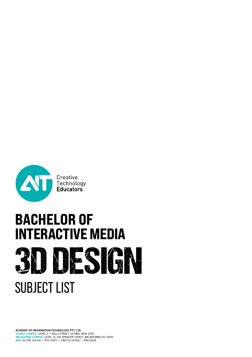

# **BACHELOR OF<br>INTERACTIVE MEDIA DESIGN**

# SUBJECT LIST

**ACADEMY OF INFORMATION TECHNOLOGY PTY. LTD. SYDNEY CAMPUS:** LEVEL 2, 7 KELLY STREET, ULTIMO, NSW 2007 **MELBOURNE CAMPUS:** LEVEL 13, 120 SPENCER STREET, MELBOURNE VIC 3000 **ABN**: 35 094 133 641 | RTO 90511 | CRICOS 02155J | PRV12005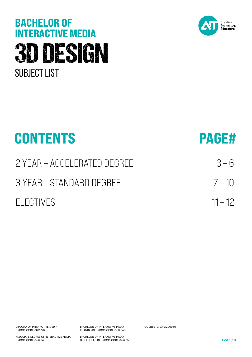# **BACHELOR OF<br>INTERACTIVE MEDIA** 3D DESIGN SUBJECT LIST



| <b>PAGE#</b> |
|--------------|
| $3 - 6$      |
| $7 - 10$     |
| $11 - 12$    |
|              |

DIPLOMA OF INTERACTIVE MEDIA CRICOS CODE:087677B

ASSOCIATE DEGREE OF INTERACTIVE MEDIA CRICOS CODE:073204F

BACHELOR OF INTERACTIVE MEDIA (STANDARD) CRICOS CODE:073206D

BACHELOR OF INTERACTIVE MEDIA (ACCELERATED) CRICOS CODE:073205E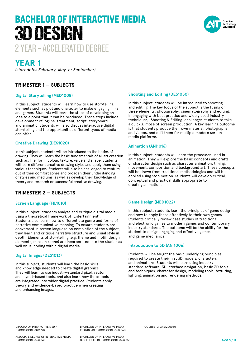# 2 YEAR – ACCELERATED DEGREE BACHELOR OF INTERACTIVE MEDIA 3D DESIGN



### **YEAR 1**

*(start dates February, May, or September)*

#### **TRIMESTER 1 — SUBJECTS**

#### **Digital Storytelling (MED1008)**

In this subject, students will learn how to use storytelling elements such as plot and character to make engaging films and games. Students will learn the steps of developing an idea to a point that it can be produced. These steps include development of logline, treatment, script, storyboard and animatic. Students will also discuss interactive digital storytelling and the opportunities different types of media can offer.

#### **Creative Drawing (DES1020)**

In this subject, students will be introduced to the basics of drawing. They will learn the basic fundamentals of all art creation such as: line, form, colour, texture, value and shape. Students will learn different creative drawing styles and apply them using various techniques. Students will also be challenged to venture out of their comfort zones and broaden their understanding of styles and mediums, as well as develop their knowledge of theory and research on successful creative drawing.

#### **TRIMESTER 2 — SUBJECTS**

#### **Screen Language (FIL1010)**

In this subject, students analyse and critique digital media using a theoretical framework of 'Entertainment'. Students also learn how to differentiate genre and forms of narrative communicative meaning. To ensure students are conversant in screen language on completion of the subject, they learn and critique narrative structure and visual style in depth. Elements of storytelling (e.g. theme and motif, design elements, mise en scene) are incorporated into the studies as well visual coding within digital media.

#### **Digital Images (DES1013)**

In this subject, students will learn the basic skills and knowledge needed to create digital graphics. They will learn to use industry-standard pixel, vector and layout-based tools, and also learn how these tools are integrated into wider digital practice. Students apply theory and evidence-based practice when creating and enhancing images.

#### **Shooting and Editing (DES1050)**

In this subject, students will be introduced to shooting and editing. The key focus of the subject is the fusing of three elements: photography, cinematography and editing. In engaging with best practice and widely used industry techniques, 'Shooting & Editing' challenges students to take a quick glimpse of screen production. A key learning outcome is that students produce their own material, photographs and videos, and edit them for multiple modern screen media platforms.

#### **Animation (ANI1016)**

In this subject, students will learn the processes used in animation. They will explore the basic concepts and crafts of character design such as character animation, timing, movement, composition and background art. These concepts will be drawn from traditional methodologies and will be applied using stop motion. Students will develop critical, conceptual and practical skills appropriate to creating animation.

#### **Game Design (MED1022)**

In this subject, students learn the principles of game design and how to apply these effectively to their own games. Students critically review case studies of traditional and electronic games to modern games and contemporary industry standards. The outcome will be the ability for the student to design engaging and effective games and game mechanics.

#### **Introduction to 3D (ANI1006)**

Students will be taught the basic underlying principles required to create their first 3D models, characters and animations. Students will learn using industry standard software: 3D interface navigation, basic 3D tools and techniques, character design, modeling tools, texturing, lighting, animation and rendering methods.

DIPLOMA OF INTERACTIVE MEDIA CRICOS CODE:087677B

ASSOCIATE DEGREE OF INTERACTIVE MEDIA CRICOS CODE:073204F

BACHELOR OF INTERACTIVE MEDIA (STANDARD) CRICOS CODE:073206D

BACHELOR OF INTERACTIVE MEDIA (ACCELERATED) CRICOS CODE:073205E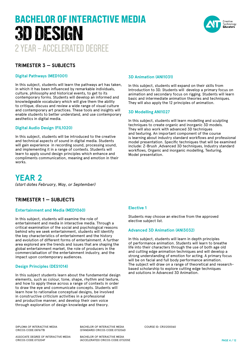# 2 YEAR – ACCELERATED DEGREE BACHELOR OF INTERACTIVE MEDIA 3D DESIGN



#### **TRIMESTER 3 — SUBJECTS**

#### **Digital Pathways (MED1001)**

In this subject, students will learn the pathways art has taken, in which it has been influenced by remarkable individuals, culture, philosophy and historical events, to get to its contemporary forms. Students will develop an informed and knowledgeable vocabulary which will give them the ability to critique, discuss and review a wide range of visual culture and contemporary art practices. These tools and insights will enable students to better understand, and use contemporary aesthetics in digital media.

#### **Digital Audio Design (FIL1020)**

In this subject, students will be introduced to the creative and technical aspects of sound in digital media. Students will gain experience in recording sound, processing sound, and implementing it in a range of contexts. Students will learn to apply sound design principles which enhance and compliments communication, meaning and emotion in their works.

**YEAR 2** *(start dates February, May, or September)*

#### **TRIMESTER 1 — SUBJECTS**

#### **Entertainment and Media (MED1060)**

In this subject, students will examine the role of entertainment and media in interactive media. Through a critical examination of the social and psychological reasons behind why we seek entertainment, students will identify the key characteristics of entertainment and the history and evolution of different forms of entertainment. A further area explored are the trends and issues that are shaping the global entertainment market, the role of producers in the commercialisation of the entertainment industry, and the impact upon contemporary audiences.

#### **Design Principles (DES1014)**

In this subject students learn about the fundamental design elements, such as colour, tone, shape, rhythm and texture, and how to apply these across a range of contexts in order to draw the eye and communicate concepts. Students will learn how to rationalise conceptual designs, be involved in constructive criticism activities in a professional and productive manner, and develop their own voice through exploration of design knowledge and theory.

#### **3D Animation (ANI1031)**

In this subject, students will expand on their skills from Introduction to 3D. Students will develop a primary focus on animation and secondary focus on rigging. Students will learn basic and intermediate animation theories and techniques. They will also apply the 12 principles of animation.

#### **3D Modelling ANI1027**

In this subject, students will learn modelling and sculpting techniques to create organic and inorganic 3D models. They will also work with advanced 3D techniques and texturing. An important component of the course is learning about industry standard workflows and professional model presentation. Specific techniques that will be examined include: Z-Brush ,Advanced 3D techniques, Industry standard workflows, Organic and inorganic modelling, Texturing, Model presentation.

#### **Elective 1**

Students may choose an elective from the approved elective subject list.

#### **Advanced 3D Animation (ANI3032)**

In this subject, students will learn in depth principles of performance animation. Students will learn to breathe life into their characters through the use of both age old and cutting edge animation techniques and will develop a strong understanding of emotion for acting. A primary focus will be on facial and full body performance animation. The subject will draw on a range of theoretical and researchbased scholarship to explore cutting edge techniques and solutions in Advanced 3D Animation.

DIPLOMA OF INTERACTIVE MEDIA CRICOS CODE:087677B

BACHELOR OF INTERACTIVE MEDIA (STANDARD) CRICOS CODE:073206D

ASSOCIATE DEGREE OF INTERACTIVE MEDIA CRICOS CODE:073204F

BACHELOR OF INTERACTIVE MEDIA (ACCELERATED) CRICOS CODE:073205E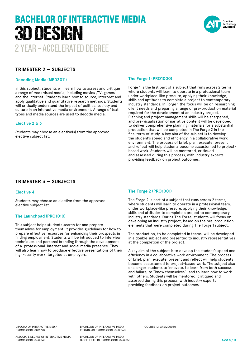# 2 YEAR – ACCELERATED DEGREE BACHELOR OF INTERACTIVE MEDIA 3D DESIGN



#### **TRIMESTER 2 — SUBJECTS**

#### **Decoding Media (MED3011)**

In this subject, students will learn how to assess and critique a range of mass visual media, including movies ,TV, games and the internet. Students learn how to source, interpret and apply qualitative and quantitative research methods. Students will critically understand the impact of politics, society and culture in an interactive media environment. A range of text types and media sources are used to decode media.

#### **Elective 2 & 3**

Students may choose an elective(s) from the approved elective subject list.

#### **The Forge 1 (PRO1000)**

Forge 1 is the first part of a subject that runs across 2 terms where students will learn to operate in a professional team under workplace-like pressure, applying their knowledge, skills and aptitudes to complete a project to contemporary industry standards. In Forge 1 the focus will be on researching client needs and preparing a range of pre-production material required for the development of an industry project. Planning and project management skills will be sharpened, and pre-visualization of narrative content will be developed to deliver comprehensive planning materials for a substantial production that will be completed in The Forge 2 in the final term of study. A key aim of the subject is to develop the student's speed and efficiency in a collaborative work environment. The process of brief, plan, execute, present and reflect will help students become accustomed to projectbased work. Students will be mentored, critiqued and assessed during this process, with industry experts providing feedback on project outcomes.

#### **TRIMESTER 3 — SUBJECTS**

#### **Elective 4**

Students may choose an elective from the approved elective subject list.

#### **The Launchpad (PRO1010)**

This subject helps students search for and prepare themselves for employment. It provides guidelines for how to prepare effective resources for enhancing their prospects in finding employment. Students will be introduced to interview techniques and personal branding through the development of a professional internet and social media presence. They will also learn how to produce effective presentations of their high-quality work, targeted at employers.

#### **The Forge 2 (PRO1001)**

The Forge 2 is part of a subject that runs across 2 terms, where students will learn to operate in a professional team, under workplace-like pressure, applying their knowledge, skills and attitudes to complete a project to contemporary industry standards. During The Forge, students will focus on developing an industry project, based on the pre-production elements that were completed during The Forge 1 subject.

The production, to be completed in teams, will be developed in a double subject and presented to industry representatives at the completion of the project.

A key aim of the subject is to develop the student's speed and efficiency in a collaborative work environment. The process of brief, plan, execute, present and reflect will help students become accustomed to project-based work. The subject also challenges students to innovate, to learn from both success and failure, to "know themselves", and to learn how to work with others. Students will be mentored, critiqued and assessed during this process, with industry experts providing feedback on project outcomes.

DIPLOMA OF INTERACTIVE MEDIA CRICOS CODE:087677B

ASSOCIATE DEGREE OF INTERACTIVE MEDIA CRICOS CODE:073204F

BACHELOR OF INTERACTIVE MEDIA (STANDARD) CRICOS CODE:073206D COURSE ID: CRS1200060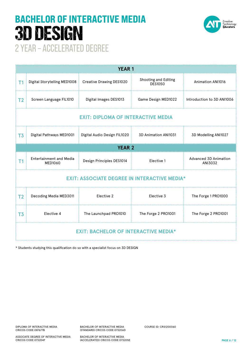# BACHELOR OF INTERACTIVE MEDIA 3D DESIGN



2 YEAR – ACCELERATED DEGREE

| <b>YEAR1</b>                                        |                                           |                              |                                        |                                         |  |  |
|-----------------------------------------------------|-------------------------------------------|------------------------------|----------------------------------------|-----------------------------------------|--|--|
| T1                                                  | Digital Storytelling MED1008              | Creative Drawing DES1020     | Shooting and Editing<br><b>DES1050</b> | Animation ANI1016                       |  |  |
| T <sub>2</sub>                                      | Screen Language FIL1010                   | Digital Images DES1013       | Game Design MED1022                    | Introduction to 3D ANI1006              |  |  |
| <b>EXIT: DIPLOMA OF INTERACTIVE MEDIA</b>           |                                           |                              |                                        |                                         |  |  |
| T <sub>3</sub>                                      | Digital Pathways MED1001                  | Digital Audio Design FIL1020 | 3D Animation ANI1031                   | 3D Modelling ANI1027                    |  |  |
| <b>YEAR 2</b>                                       |                                           |                              |                                        |                                         |  |  |
| Τ1                                                  | <b>Entertainment and Media</b><br>MED1060 | Design Principles DES1014    | Elective 1                             | <b>Advanced 3D Animation</b><br>ANI3032 |  |  |
| <b>EXIT: ASSOCIATE DEGREE IN INTERACTIVE MEDIA*</b> |                                           |                              |                                        |                                         |  |  |
| T <sub>2</sub>                                      | Decoding Media MED3011                    | Elective 2                   | Elective 3                             | The Forge 1 PRO1000                     |  |  |
| T <sub>3</sub>                                      | Elective 4                                | The Launchpad PRO1010        | The Forge 2 PRO1001                    | The Forge 2 PRO1001                     |  |  |
| <b>EXIT: BACHELOR OF INTERACTIVE MEDIA*</b>         |                                           |                              |                                        |                                         |  |  |

\* Students studying this qualification do so with a specialist focus on 3D DESIGN

COURSE ID: CRS1200060

ASSOCIATE DEGREE OF INTERACTIVE MEDIA CRICOS CODE:073204F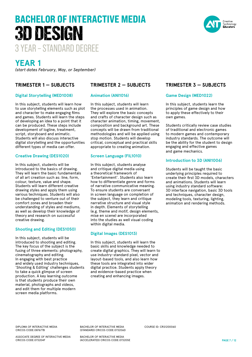

### **YEAR 1**

*(start dates February, May, or September)*

#### **TRIMESTER 1 — SUBJECTS**

#### **Digital Storytelling (MED1008)**

In this subject, students will learn how to use storytelling elements such as plot and character to make engaging films and games. Students will learn the steps of developing an idea to a point that it can be produced. These steps include development of logline, treatment, script, storyboard and animatic. Students will also discuss interactive digital storytelling and the opportunities different types of media can offer.

#### **Creative Drawing (DES1020)**

In this subject, students will be introduced to the basics of drawing. They will learn the basic fundamentals of all art creation such as: line, form, colour, texture, value and shape. Students will learn different creative drawing styles and apply them using various techniques. Students will also be challenged to venture out of their comfort zones and broaden their understanding of styles and mediums, as well as develop their knowledge of theory and research on successful creative drawing.

#### **Shooting and Editing (DES1050)**

In this subject, students will be introduced to shooting and editing. The key focus of the subject is the fusing of three elements: photography, cinematography and editing. In engaging with best practice and widely used industry techniques, 'Shooting & Editing' challenges students to take a quick glimpse of screen production. A key learning outcome is that students produce their own material, photographs and videos, and edit them for multiple modern screen media platforms.

#### **TRIMESTER 2 — SUBJECTS**

#### **Animation (ANI1016)**

In this subject, students will learn the processes used in animation. They will explore the basic concepts and crafts of character design such as character animation, timing, movement, composition and background art. These concepts will be drawn from traditional methodologies and will be applied using stop motion. Students will develop critical, conceptual and practical skills appropriate to creating animation.

#### **Screen Language (FIL1010)**

In this subject, students analyse and critique digital media using a theoretical framework of 'Entertainment'. Students also learn how to differentiate genre and forms of narrative communicative meaning. To ensure students are conversant in screen language on completion of the subject, they learn and critique narrative structure and visual style in depth. Elements of storytelling (e.g. theme and motif, design elements, mise en scene) are incorporated into the studies as well visual coding within digital media.

#### **Digital Images (DES1013)**

In this subject, students will learn the basic skills and knowledge needed to create digital graphics. They will learn to use industry-standard pixel, vector and layout-based tools, and also learn how these tools are integrated into wider digital practice. Students apply theory and evidence-based practice when creating and enhancing images.

#### **TRIMESTER 3 — SUBJECTS**

#### **Game Design (MED1022)**

In this subject, students learn the principles of game design and how to apply these effectively to their own games.

Students critically review case studies of traditional and electronic games to modern games and contemporary industry standards. The outcome will be the ability for the student to design engaging and effective games and game mechanics.

#### **Introduction to 3D (ANI1006)**

Students will be taught the basic underlying principles required to create their first 3D models, characters and animations. Students will learn using industry standard software: 3D interface navigation, basic 3D tools and techniques, character design, modeling tools, texturing, lighting, animation and rendering methods.

DIPLOMA OF INTERACTIVE MEDIA CRICOS CODE:087677B

ASSOCIATE DEGREE OF INTERACTIVE MEDIA CRICOS CODE:073204F

BACHELOR OF INTERACTIVE MEDIA (STANDARD) CRICOS CODE:073206D

BACHELOR OF INTERACTIVE MEDIA (ACCELERATED) CRICOS CODE:073205E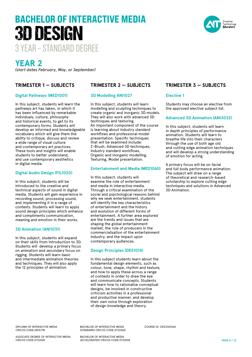

### **YEAR 2**

*(start dates February, May, or September)*

#### **TRIMESTER 1 — SUBJECTS**

#### **Digital Pathways (MED1001)**

In this subject, students will learn the pathways art has taken, in which it has been influenced by remarkable individuals, culture, philosophy and historical events, to get to its contemporary forms. Students will develop an informed and knowledgeable vocabulary which will give them the ability to critique, discuss and review a wide range of visual culture and contemporary art practices. These tools and insights will enable students to better understand, and use contemporary aesthetics in digital media.

#### **Digital Audio Design (FIL1020)**

In this subject, students will be introduced to the creative and technical aspects of sound in digital media. Students will gain experience in recording sound, processing sound, and implementing it in a range of contexts. Students will learn to apply sound design principles which enhance and compliments communication, meaning and emotion in their works.

#### **3D Animation (ANI1031)**

In this subject, students will expand on their skills from Introduction to 3D. Students will develop a primary focus on animation and secondary focus on rigging. Students will learn basic and intermediate animation theories and techniques. They will also apply the 12 principles of animation.

#### **TRIMESTER 2 — SUBJECTS**

#### **3D Modelling ANI1027**

In this subject, students will learn modelling and sculpting techniques to create organic and inorganic 3D models. They will also work with advanced 3D techniques and texturing. An important component of the course is learning about industry standard workflows and professional model presentation. Specific techniques that will be examined include: Z-Brush, Advanced 3D techniques, Industry standard workflows, Organic and inorganic modelling, Texturing, Model presentation.

#### **Entertainment and Media (MED1060)**

In this subject, students will examine the role of entertainment and media in interactive media. Through a critical examination of the social and psychological reasons behind why we seek entertainment, students will identify the key characteristics of entertainment and the history and evolution of different forms of entertainment. A further area explored are the trends and issues that are shaping the global entertainment market, the role of producers in the commercialisation of the entertainment industry, and the impact upon contemporary audiences.

#### **Design Principles (DES1014)**

In this subject students learn about the fundamental design elements, such as colour, tone, shape, rhythm and texture, and how to apply these across a range of contexts in order to draw the eye and communicate concepts. Students will learn how to rationalise conceptual designs, be involved in constructive criticism activities in a professional and productive manner, and develop their own voice through exploration of design knowledge and theory.

#### **TRIMESTER 3 — SUBJECTS**

#### **Elective 1**

Students may choose an elective from the approved elective subject list.

#### **Advanced 3D Animation (ANI3032)**

In this subject, students will learn in depth principles of performance animation. Students will learn to breathe life into their characters through the use of both age old and cutting edge animation techniques and will develop a strong understanding of emotion for acting.

A primary focus will be on facial and full body performance animation. The subject will draw on a range of theoretical and research-based scholarship to explore cutting edge techniques and solutions in Advanced 3D Animation.

DIPLOMA OF INTERACTIVE MEDIA CRICOS CODE:087677B

ASSOCIATE DEGREE OF INTERACTIVE MEDIA CRICOS CODE:073204F

BACHELOR OF INTERACTIVE MEDIA (STANDARD) CRICOS CODE:073206D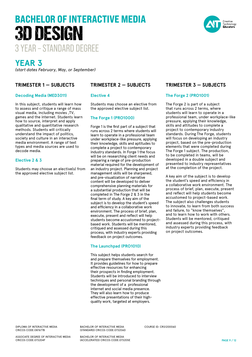

## **YEAR 3**

*(start dates February, May, or September)*

#### **TRIMESTER 1 — SUBJECTS**

#### **Decoding Media (MED3011)**

In this subject, students will learn how to assess and critique a range of mass visual media, including movies ,TV, games and the internet. Students learn how to source, interpret and apply qualitative and quantitative research methods. Students will critically understand the impact of politics, society and culture in an interactive media environment. A range of text types and media sources are used to decode media.

#### **Elective 2 & 3**

Students may choose an elective(s) from the approved elective subject list.

#### **TRIMESTER 2 — SUBJECTS**

#### **Elective 4**

Students may choose an elective from the approved elective subject list.

#### **The Forge 1 (PRO1000)**

Forge 1 is the first part of a subject that runs across 2 terms where students will learn to operate in a professional team under workplace-like pressure, applying their knowledge, skills and aptitudes to complete a project to contemporary industry standards. In Forge 1 the focus will be on researching client needs and preparing a range of pre-production material required for the development of an industry project. Planning and project management skills will be sharpened, and pre-visualization of narrative content will be developed to deliver comprehensive planning materials for a substantial production that will be completed in The Forge 2 & 3 in the final term of study. A key aim of the subject is to develop the student's speed and efficiency in a collaborative work environment. The process of brief, plan, execute, present and reflect will help students become accustomed to projectbased work. Students will be mentored, critiqued and assessed during this process, with industry experts providing feedback on project outcomes.

#### **The Launchpad (PRO1010)**

This subject helps students search for and prepare themselves for employment. It provides guidelines for how to prepare effective resources for enhancing their prospects in finding employment. Students will be introduced to interview techniques and personal branding through the development of a professional internet and social media presence. They will also learn how to produce effective presentations of their highquality work, targeted at employers.

#### **TRIMESTER 3 — SUBJECTS**

#### **The Forge 2 (PRO1001)**

The Forge 2 is part of a subject that runs across 2 terms, where students will learn to operate in a professional team, under workplace-like pressure, applying their knowledge, skills and attitudes to complete a project to contemporary industry standards. During The Forge, students will focus on developing an industry project, based on the pre-production elements that were completed during The Forge 1 subject. The production, to be completed in teams, will be developed in a double subject and presented to industry representatives at the completion of the project.

A key aim of the subject is to develop the student's speed and efficiency in a collaborative work environment. The process of brief, plan, execute, present and reflect will help students become accustomed to project-based work. The subject also challenges students to innovate, to learn from both success and failure, to "know themselves", and to learn how to work with others. Students will be mentored, critiqued and assessed during this process, with industry experts providing feedback on project outcomes.

DIPLOMA OF INTERACTIVE MEDIA CRICOS CODE:087677B

ASSOCIATE DEGREE OF INTERACTIVE MEDIA CRICOS CODE:073204F

BACHELOR OF INTERACTIVE MEDIA (STANDARD) CRICOS CODE:073206D

BACHELOR OF INTERACTIVE MEDIA (ACCELERATED) CRICOS CODE:073205E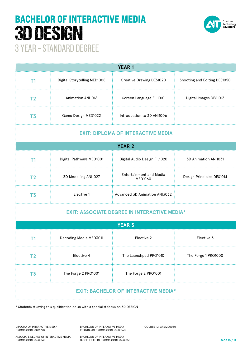

| <b>YEAR 1</b>                                       |                              |                                           |                              |  |  |  |  |
|-----------------------------------------------------|------------------------------|-------------------------------------------|------------------------------|--|--|--|--|
| T1                                                  | Digital Storytelling MED1008 | Creative Drawing DES1020                  | Shooting and Editing DES1050 |  |  |  |  |
| T <sub>2</sub>                                      | Animation ANI1016            | Screen Language FIL1010                   | Digital Images DES1013       |  |  |  |  |
| T <sub>3</sub>                                      | Game Design MED1022          | Introduction to 3D ANI1006                |                              |  |  |  |  |
| <b>EXIT: DIPLOMA OF INTERACTIVE MEDIA</b>           |                              |                                           |                              |  |  |  |  |
| <b>YEAR 2</b>                                       |                              |                                           |                              |  |  |  |  |
| T1                                                  | Digital Pathways MED1001     | Digital Audio Design FIL1020              | 3D Animation ANI1031         |  |  |  |  |
| T <sub>2</sub>                                      | 3D Modelling ANI1027         | <b>Entertainment and Media</b><br>MED1060 | Design Principles DES1014    |  |  |  |  |
| T <sub>3</sub>                                      | Elective 1                   | <b>Advanced 3D Animation ANI3032</b>      |                              |  |  |  |  |
| <b>EXIT: ASSOCIATE DEGREE IN INTERACTIVE MEDIA*</b> |                              |                                           |                              |  |  |  |  |
| <b>YEAR 3</b>                                       |                              |                                           |                              |  |  |  |  |
| T1                                                  | Decoding Media MED3011       | Elective 2                                | Elective 3                   |  |  |  |  |
| T <sub>2</sub>                                      | Elective 4                   | The Launchpad PRO1010                     | The Forge 1 PRO1000          |  |  |  |  |

**EXIT: BACHELOR OF INTERACTIVE MEDIA\***

DIPLOMA OF INTERACTIVE MEDIA

BACHELOR OF INTERACTIVE MEDIA (STANDARD) CRICOS CODE:073206D

**T3** The Forge 2 PRO1001 The Forge 2 PRO1001

\* Students studying this qualification do so with a specialist focus on 3D DESIGN

COURSE ID: CRS1200060

ASSOCIATE DEGREE OF INTERACTIVE MEDIA CRICOS CODE:073204F

CRICOS CODE:087677B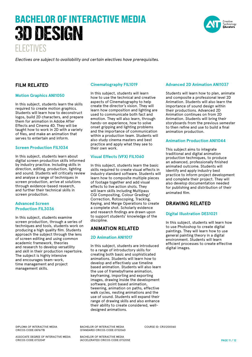# ELECTIVES BACHELOR OF INTERACTIVE MEDIA 3D DESIGN



*Electives are subject to availability and certain electives have prerequisites.* 

#### **FILM RELATED**

#### **Motion Graphics ANI1050**

In this subject, students learn the skills required to create motion graphics. Students will learn how to deconstruct logos, build 2D characters, and prepare them for animation in Adobe After Effects and Cinema 4D. They will be taught how to work in 2D with a variety of files, and make an animation that serves to entertain and inform.

#### **Screen Production FIL1034**

In this subject, students learn about digital screen production skills informed by industry practice. Including skills in direction, editing, production, lighting and sound. Students will critically review and analyse a range of techniques in screen production, arrive at solutions through evidence-based research, and further their technical skills in screen production.

#### **Advanced Screen Production FIL3036**

In this subject, students examine screen production, through a series of techniques and tools, students work on producing a high quality film. Students approach the subject through the lens of screen editing and using common academic framework, theories and research to develop versatility and skill in their production repertoire. The subject is highly intensive and encourages team-work, time management and project management skills.

#### **Cinematography FIL1019**

In this subject, students will learn how to use the technical and creative aspects of Cinematography to help create the director's vision. They will learn how composition and lighting are used to communicate both fact and emotion. They will also learn, through hands-on experience, how to solve onset gripping and lighting problems and the importance of communication within a production team. Students will also study cinema masters and best practice and apply what they see to their own work.

#### **Visual Effects (VFX) FIL1060**

In this subject, students learn the basic skills required to create visual effects in industry standard software. Students will learn how to composite multiple pieces of footage together and add visual effects to live action shots. They will learn skills including Multipass CGI Compositing, Colour Grading/ Correction, Rotoscoping, Tracking, Keying, and Merge Operations to create a complete shot. Scholarly evidence and research findings are drawn upon to support students' knowledge of the discipline.

#### **ANIMATION RELATED**

#### **2D Animation ANI1017**

In this subject, students are introduced to a range of introductory skills for creating both basic and sophisticated animations. Students will learn how to develop and effectively use timeline based animation. Students will also learn the use of framebyframe animation, keyframing, importing and exporting images, drawing inside the development software, point based animation, tweening, animation on paths, effective walk cycles, nesting animations and the use of sound. Students will expand their range of drawing skills and also enhance their ability to create considered, welldesigned animations.

COURSE ID: CRS1200060

#### **Advanced 2D Animation ANI1037**

Students will learn how to plan, animate and composite a professional level 2D Animation. Students will also learn the importance of sound design within their productions. Advanced 2D Animation continues on from 2D Animation. Students will bring their storyboards from the previous semester to then refine and use to build a final animation production.

#### **Animation Production ANI1044**

This subject aims to integrate traditional and digital animation production techniques, to produce an advanced, professionally finished animated outcome. Students will identify and apply industry best practice to inform project development and complete their project. They will also develop documentation needed for publishing and distribution of their animated film.

#### **DRAWING RELATED**

#### **Digital Illustration DES1021**

In this subject, students will learn how to use Photoshop to create digital paintings. They will learn how to use general painting theory in a digital environment. Students will learn efficient processes to create effective digital images.

DIPLOMA OF INTERACTIVE MEDIA CRICOS CODE:087677B

ASSOCIATE DEGREE OF INTERACTIVE MEDIA CRICOS CODE:073204F

BACHELOR OF INTERACTIVE MEDIA (STANDARD) CRICOS CODE:073206D